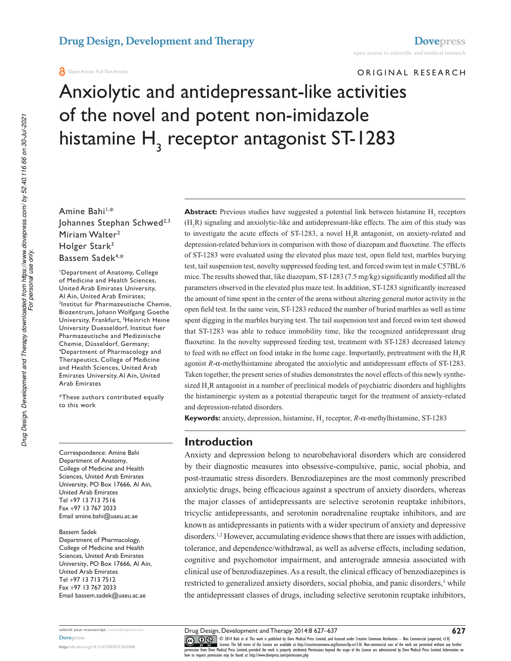Original research

# anxiolytic and antidepressant-like activities of the novel and potent non-imidazole histamine  $\mathsf{H}_{_\mathrm{3}}$  receptor antagonist ST-1283

Amine Bahi<sup>1,\*</sup> Johannes Stephan Schwed<sup>2,3</sup> Miriam Walter<sup>2</sup> Holger Stark<sup>3</sup> Bassem Sadek<sup>4,\*</sup>

<sup>1</sup>Department of Anatomy, College of Medicine and Health Sciences, United Arab Emirates University, Al Ain, United Arab Emirates; 2 institut für Pharmazeutische chemie, Biozentrum, Johann Wolfgang Goethe University, Frankfurt, <sup>3</sup>Heinrich Heine University Duesseldorf, institut fuer Pharmazeutische and Medizinische chemie, Düsseldorf, germany; <sup>4</sup>Department of Pharmacology and Therapeutics, college of Medicine and Health Sciences, United Arab Emirates University, Al Ain, United Arab Emirates

\*These authors contributed equally to this work

Correspondence: Amine Bahi Department of Anatomy, College of Medicine and Health Sciences, United Arab Emirates University, PO Box 17666, Al Ain, United Arab Emirates Tel +97 13 713 7516 Fax +97 13 767 2033 email amine.bahi@uaeu.ac.ae

Bassem sadek Department of Pharmacology, College of Medicine and Health Sciences, United Arab Emirates University, PO Box 17666, Al Ain, **United Arab Emirates** Tel +97 13 713 7512 Fax +97 13 767 2033 email bassem.sadek@uaeu.ac.ae

**Abstract:** Previous studies have suggested a potential link between histamine H<sub>3</sub> receptors (H,R) signaling and anxiolytic-like and antidepressant-like effects. The aim of this study was to investigate the acute effects of ST-1283, a novel H,R antagonist, on anxiety-related and depression-related behaviors in comparison with those of diazepam and fluoxetine. The effects of ST-1283 were evaluated using the elevated plus maze test, open field test, marbles burying test, tail suspension test, novelty suppressed feeding test, and forced swim test in male C57BL/6 mice. The results showed that, like diazepam, ST-1283 (7.5 mg/kg) significantly modified all the parameters observed in the elevated plus maze test. In addition, ST-1283 significantly increased the amount of time spent in the center of the arena without altering general motor activity in the open field test. In the same vein, ST-1283 reduced the number of buried marbles as well as time spent digging in the marbles burying test. The tail suspension test and forced swim test showed that ST-1283 was able to reduce immobility time, like the recognized antidepressant drug fluoxetine. In the novelty suppressed feeding test, treatment with ST-1283 decreased latency to feed with no effect on food intake in the home cage. Importantly, pretreatment with the  $H_iR$ agonist *R*-α-methylhistamine abrogated the anxiolytic and antidepressant effects of ST-1283. Taken together, the present series of studies demonstrates the novel effects of this newly synthesized  $H<sub>3</sub>R$  antagonist in a number of preclinical models of psychiatric disorders and highlights the histaminergic system as a potential therapeutic target for the treatment of anxiety-related and depression-related disorders.

**Keywords:** anxiety, depression, histamine, H<sub>3</sub> receptor, R-α-methylhistamine, ST-1283

## **Introduction**

Anxiety and depression belong to neurobehavioral disorders which are considered by their diagnostic measures into obsessive-compulsive, panic, social phobia, and post-traumatic stress disorders. Benzodiazepines are the most commonly prescribed anxiolytic drugs, being efficacious against a spectrum of anxiety disorders, whereas the major classes of antidepressants are selective serotonin reuptake inhibitors, tricyclic antidepressants, and serotonin noradrenaline reuptake inhibitors, and are known as antidepressants in patients with a wider spectrum of anxiety and depressive disorders.<sup>1,2</sup> However, accumulating evidence shows that there are issues with addiction, tolerance, and dependence/withdrawal, as well as adverse effects, including sedation, cognitive and psychomotor impairment, and anterograde amnesia associated with clinical use of benzodiazepines. As a result, the clinical efficacy of benzodiazepines is restricted to generalized anxiety disorders, social phobia, and panic disorders,<sup>3</sup> while the antidepressant classes of drugs, including selective serotonin reuptake inhibitors,

**submit your manuscript** | www.dovepress.com **Dovepress** 

CO OS © 2014 Bahi et al. This work is published by Dove Medical Press Limited, and licensed under Creative Commons Attribution - Non Commercial (unported, v3.0)<br>
permission from Dove Medical Press Limited, provided the wor how to request permission may be found at: http://www.dovepress.com/permissions.php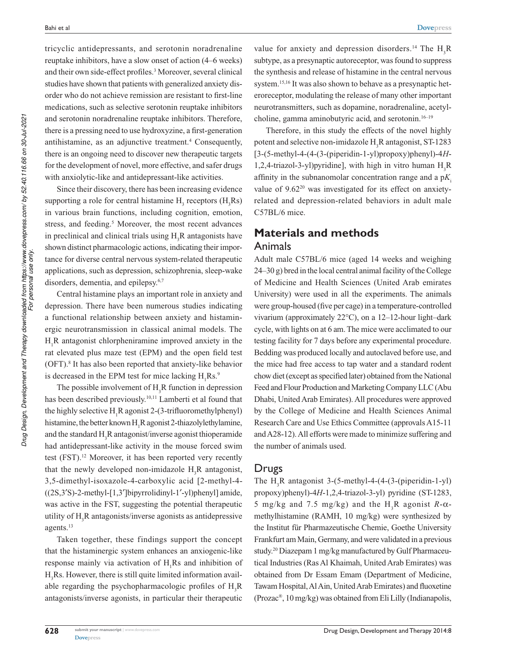tricyclic antidepressants, and serotonin noradrenaline reuptake inhibitors, have a slow onset of action (4–6 weeks) and their own side-effect profiles.<sup>3</sup> Moreover, several clinical studies have shown that patients with generalized anxiety disorder who do not achieve remission are resistant to first-line medications, such as selective serotonin reuptake inhibitors and serotonin noradrenaline reuptake inhibitors. Therefore, there is a pressing need to use hydroxyzine, a first-generation antihistamine, as an adjunctive treatment.<sup>4</sup> Consequently, there is an ongoing need to discover new therapeutic targets for the development of novel, more effective, and safer drugs with anxiolytic-like and antidepressant-like activities.

Since their discovery, there has been increasing evidence supporting a role for central histamine  $H_3$  receptors  $(H_3Rs)$ in various brain functions, including cognition, emotion, stress, and feeding.<sup>5</sup> Moreover, the most recent advances in preclinical and clinical trials using  $H<sub>3</sub>R$  antagonists have shown distinct pharmacologic actions, indicating their importance for diverse central nervous system-related therapeutic applications, such as depression, schizophrenia, sleep-wake disorders, dementia, and epilepsy.<sup>6,7</sup>

Central histamine plays an important role in anxiety and depression. There have been numerous studies indicating a functional relationship between anxiety and histaminergic neurotransmission in classical animal models. The H<sub>,</sub>R antagonist chlorpheniramine improved anxiety in the rat elevated plus maze test (EPM) and the open field test (OFT).<sup>8</sup> It has also been reported that anxiety-like behavior is decreased in the EPM test for mice lacking  $H$ , Rs. $9$ 

The possible involvement of  $H$ <sub>,</sub> $R$  function in depression has been described previously.<sup>10,11</sup> Lamberti et al found that the highly selective H<sub>1</sub>R agonist 2-(3-trifluoromethylphenyl) histamine, the better known H<sub>1</sub>R agonist 2-thiazolylethylamine, and the standard  $H<sub>2</sub>R$  antagonist/inverse agonist thioperamide had antidepressant-like activity in the mouse forced swim test (FST).<sup>12</sup> Moreover, it has been reported very recently that the newly developed non-imidazole  $H<sub>3</sub>R$  antagonist, 3,5-dimethyl-isoxazole-4-carboxylic acid [2-methyl-4-  $((2S,3'S)-2-methyl-[1,3']bipyrrolidinyl-1'-yl)phenyl] amide,$ was active in the FST, suggesting the potential therapeutic utility of  $H<sub>3</sub>R$  antagonists/inverse agonists as antidepressive agents.<sup>13</sup>

Taken together, these findings support the concept that the histaminergic system enhances an anxiogenic-like response mainly via activation of H<sub>1</sub>Rs and inhibition of H<sub>2</sub>Rs. However, there is still quite limited information available regarding the psychopharmacologic profiles of  $H<sub>3</sub>R$ antagonists/inverse agonists, in particular their therapeutic

value for anxiety and depression disorders.<sup>14</sup> The H<sub>3</sub>R subtype, as a presynaptic autoreceptor, was found to suppress the synthesis and release of histamine in the central nervous system.<sup>15,16</sup> It was also shown to behave as a presynaptic heteroreceptor, modulating the release of many other important neurotransmitters, such as dopamine, noradrenaline, acetylcholine, gamma aminobutyric acid, and serotonin.16–19

Therefore, in this study the effects of the novel highly potent and selective non-imidazole H<sub>3</sub>R antagonist, ST-1283 [3-(5-methyl-4-(4-(3-(piperidin-1-yl)propoxy)phenyl)-4*H*-1,2,4-triazol-3-yl)pyridine], with high in vitro human  $H<sub>3</sub>R$ affinity in the subnanomolar concentration range and a  $pK_i$ value of 9.62<sup>20</sup> was investigated for its effect on anxietyrelated and depression-related behaviors in adult male C57BL/6 mice.

## **Materials and methods Animals**

Adult male C57BL/6 mice (aged 14 weeks and weighing 24–30 g) bred in the local central animal facility of the College of Medicine and Health Sciences (United Arab emirates University) were used in all the experiments. The animals were group-housed (five per cage) in a temperature-controlled vivarium (approximately 22°C), on a 12–12-hour light–dark cycle, with lights on at 6 am. The mice were acclimated to our testing facility for 7 days before any experimental procedure. Bedding was produced locally and autoclaved before use, and the mice had free access to tap water and a standard rodent chow diet (except as specified later) obtained from the National Feed and Flour Production and Marketing Company LLC (Abu Dhabi, United Arab Emirates). All procedures were approved by the College of Medicine and Health Sciences Animal Research Care and Use Ethics Committee (approvals A15-11 and A28-12). All efforts were made to minimize suffering and the number of animals used.

## Drugs

The H<sub>3</sub>R antagonist  $3-(5-methyl-4-(4-(3-piperidin-1-yl))$ propoxy)phenyl)-4*H*-1,2,4-triazol-3-yl) pyridine (ST-1283, 5 mg/kg and 7.5 mg/kg) and the H<sub>3</sub>R agonist  $R-\alpha$ methylhistamine (RAMH, 10 mg/kg) were synthesized by the Institut für Pharmazeutische Chemie, Goethe University Frankfurt am Main, Germany, and were validated in a previous study.20 Diazepam 1 mg/kg manufactured by Gulf Pharmaceutical Industries (Ras Al Khaimah, United Arab Emirates) was obtained from Dr Essam Emam (Department of Medicine, Tawam Hospital, Al Ain, United Arab Emirates) and fluoxetine (Prozac® , 10 mg/kg) was obtained from Eli Lilly ( Indianapolis,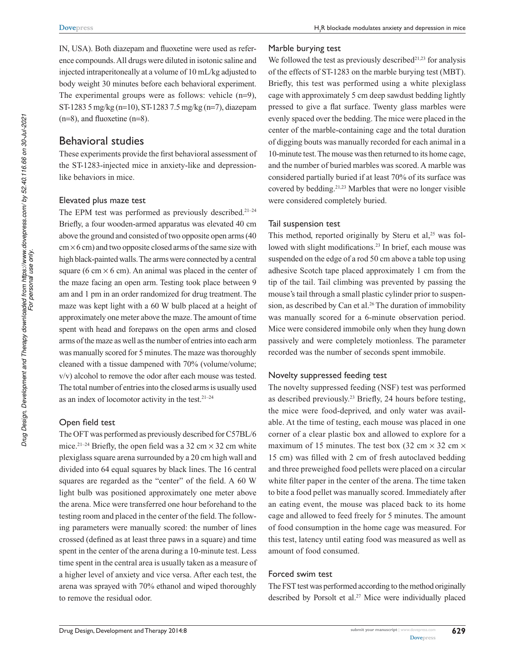IN, USA). Both diazepam and fluoxetine were used as reference compounds. All drugs were diluted in isotonic saline and injected intraperitoneally at a volume of 10 mL/kg adjusted to body weight 30 minutes before each behavioral experiment. The experimental groups were as follows: vehicle (n=9), ST-1283 5 mg/kg (n=10), ST-1283 7.5 mg/kg (n=7), diazepam (n=8), and fluoxetine (n=8).

## Behavioral studies

These experiments provide the first behavioral assessment of the ST-1283-injected mice in anxiety-like and depressionlike behaviors in mice.

#### Elevated plus maze test

The EPM test was performed as previously described.<sup>21-24</sup> Briefly, a four wooden-armed apparatus was elevated 40 cm above the ground and consisted of two opposite open arms (40  $cm \times 6$  cm) and two opposite closed arms of the same size with high black-painted walls. The arms were connected by a central square (6 cm  $\times$  6 cm). An animal was placed in the center of the maze facing an open arm. Testing took place between 9 am and 1 pm in an order randomized for drug treatment. The maze was kept light with a 60 W bulb placed at a height of approximately one meter above the maze. The amount of time spent with head and forepaws on the open arms and closed arms of the maze as well as the number of entries into each arm was manually scored for 5 minutes. The maze was thoroughly cleaned with a tissue dampened with 70% (volume/volume; v/v) alcohol to remove the odor after each mouse was tested. The total number of entries into the closed arms is usually used as an index of locomotor activity in the test.21–24

## Open field test

The OFT was performed as previously described for C57BL/6 mice.<sup>21–24</sup> Briefly, the open field was a 32 cm  $\times$  32 cm white plexiglass square arena surrounded by a 20 cm high wall and divided into 64 equal squares by black lines. The 16 central squares are regarded as the "center" of the field. A 60 W light bulb was positioned approximately one meter above the arena. Mice were transferred one hour beforehand to the testing room and placed in the center of the field. The following parameters were manually scored: the number of lines crossed (defined as at least three paws in a square) and time spent in the center of the arena during a 10-minute test. Less time spent in the central area is usually taken as a measure of a higher level of anxiety and vice versa. After each test, the arena was sprayed with 70% ethanol and wiped thoroughly to remove the residual odor.

#### Marble burying test

We followed the test as previously described<sup> $21,23$ </sup> for analysis of the effects of ST-1283 on the marble burying test (MBT). Briefly, this test was performed using a white plexiglass cage with approximately 5 cm deep sawdust bedding lightly pressed to give a flat surface. Twenty glass marbles were evenly spaced over the bedding. The mice were placed in the center of the marble-containing cage and the total duration of digging bouts was manually recorded for each animal in a 10-minute test. The mouse was then returned to its home cage, and the number of buried marbles was scored. A marble was considered partially buried if at least 70% of its surface was covered by bedding.21,23 Marbles that were no longer visible were considered completely buried.

#### Tail suspension test

This method, reported originally by Steru et al, $25$  was followed with slight modifications.<sup>23</sup> In brief, each mouse was suspended on the edge of a rod 50 cm above a table top using adhesive Scotch tape placed approximately 1 cm from the tip of the tail. Tail climbing was prevented by passing the mouse's tail through a small plastic cylinder prior to suspension, as described by Can et al.<sup>26</sup> The duration of immobility was manually scored for a 6-minute observation period. Mice were considered immobile only when they hung down passively and were completely motionless. The parameter recorded was the number of seconds spent immobile.

#### Novelty suppressed feeding test

The novelty suppressed feeding (NSF) test was performed as described previously.<sup>23</sup> Briefly, 24 hours before testing, the mice were food-deprived, and only water was available. At the time of testing, each mouse was placed in one corner of a clear plastic box and allowed to explore for a maximum of 15 minutes. The test box (32 cm  $\times$  32 cm  $\times$ 15 cm) was filled with 2 cm of fresh autoclaved bedding and three preweighed food pellets were placed on a circular white filter paper in the center of the arena. The time taken to bite a food pellet was manually scored. Immediately after an eating event, the mouse was placed back to its home cage and allowed to feed freely for 5 minutes. The amount of food consumption in the home cage was measured. For this test, latency until eating food was measured as well as amount of food consumed.

#### Forced swim test

The FST test was performed according to the method originally described by Porsolt et al.<sup>27</sup> Mice were individually placed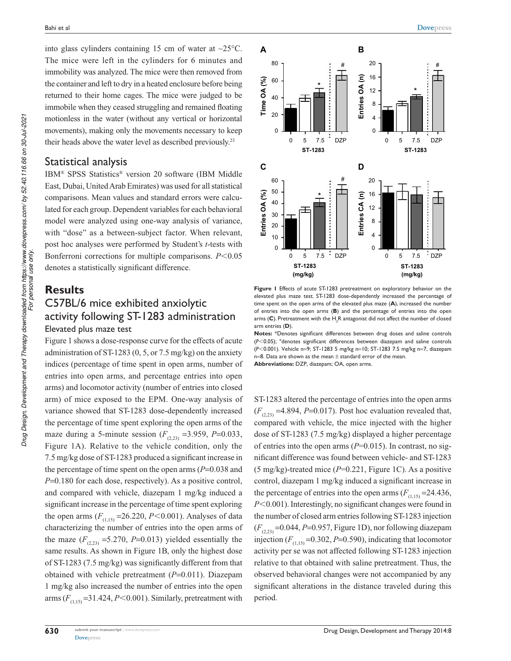into glass cylinders containing 15 cm of water at ∼25°C. The mice were left in the cylinders for 6 minutes and immobility was analyzed. The mice were then removed from the container and left to dry in a heated enclosure before being returned to their home cages. The mice were judged to be immobile when they ceased struggling and remained floating motionless in the water (without any vertical or horizontal movements), making only the movements necessary to keep their heads above the water level as described previously.<sup>23</sup>

## statistical analysis

IBM® SPSS Statistics® version 20 software (IBM Middle East, Dubai, United Arab Emirates) was used for all statistical comparisons. Mean values and standard errors were calculated for each group. Dependent variables for each behavioral model were analyzed using one-way analysis of variance, with "dose" as a between-subject factor. When relevant, post hoc analyses were performed by Student's *t*-tests with Bonferroni corrections for multiple comparisons. *P*<0.05 denotes a statistically significant difference.

# **Results** c57Bl/6 mice exhibited anxiolytic activity following sT-1283 administration Elevated plus maze test

Figure 1 shows a dose-response curve for the effects of acute administration of ST-1283 (0, 5, or 7.5 mg/kg) on the anxiety indices (percentage of time spent in open arms, number of entries into open arms, and percentage entries into open arms) and locomotor activity (number of entries into closed arm) of mice exposed to the EPM. One-way analysis of variance showed that ST-1283 dose-dependently increased the percentage of time spent exploring the open arms of the maze during a 5-minute session  $(F_{(2,23)} = 3.959, P=0.033,$ Figure 1A). Relative to the vehicle condition, only the 7.5 mg/kg dose of ST-1283 produced a significant increase in the percentage of time spent on the open arms (*P*=0.038 and *P*=0.180 for each dose, respectively). As a positive control, and compared with vehicle, diazepam 1 mg/kg induced a significant increase in the percentage of time spent exploring the open arms  $(F_{(1,15)} = 26.220, P \le 0.001)$ . Analyses of data characterizing the number of entries into the open arms of the maze  $(F_{(2,23)} = 5.270, P = 0.013)$  yielded essentially the same results. As shown in Figure 1B, only the highest dose of ST-1283 (7.5 mg/kg) was significantly different from that obtained with vehicle pretreatment (*P*=0.011). Diazepam 1 mg/kg also increased the number of entries into the open arms  $(F<sub>(1,15)</sub> = 31.424, P < 0.001)$ . Similarly, pretreatment with



Figure 1 Effects of acute ST-1283 pretreatment on exploratory behavior on the elevated plus maze test. ST-1283 dose-dependently increased the percentage of time spent on the open arms of the elevated plus maze (**A**), increased the number of entries into the open arms (**B**) and the percentage of entries into the open arms (**C**). Pretreatment with the  $H_{\tiny 3}$ R antagonist did not affect the number of closed arm entries (**D**).

**Notes:** \*Denotes significant differences between drug doses and saline controls (*P*,0.05); #denotes significant differences between diazepam and saline controls (*P*,0.001). Vehicle n=9; sT-1283 5 mg/kg n=10; sT-1283 7.5 mg/kg n=7, diazepam n=8. Data are shown as the mean  $\pm$  standard error of the mean. Abbreviations: DZP, diazepam; OA, open arms.

ST-1283 altered the percentage of entries into the open arms  $(F_{(2,23)} = 4.894, P = 0.017)$ . Post hoc evaluation revealed that, compared with vehicle, the mice injected with the higher dose of ST-1283 (7.5 mg/kg) displayed a higher percentage of entries into the open arms (*P*=0.015). In contrast, no significant difference was found between vehicle- and ST-1283 (5 mg/kg)-treated mice (*P*=0.221, Figure 1C). As a positive control, diazepam 1 mg/kg induced a significant increase in the percentage of entries into the open arms  $(F<sub>(1.15)</sub> = 24.436)$ , *P*<0.001). Interestingly, no significant changes were found in the number of closed arm entries following ST-1283 injection  $(F_{(2,23)} = 0.044, P = 0.957,$  Figure 1D), nor following diazepam injection  $(F_{(1,15)} = 0.302, P = 0.590)$ , indicating that locomotor activity per se was not affected following ST-1283 injection relative to that obtained with saline pretreatment. Thus, the observed behavioral changes were not accompanied by any significant alterations in the distance traveled during this period.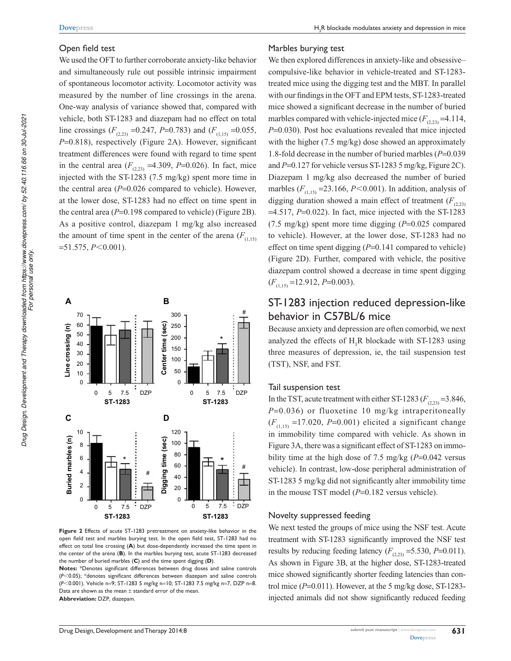#### Open field test

We used the OFT to further corroborate anxiety-like behavior and simultaneously rule out possible intrinsic impairment of spontaneous locomotor activity. Locomotor activity was measured by the number of line crossings in the arena. One-way analysis of variance showed that, compared with vehicle, both ST-1283 and diazepam had no effect on total line crossings ( $F_{(2,23)} = 0.247$ , *P*=0.783) and ( $F_{(1,15)} = 0.055$ , *P*=0.818), respectively (Figure 2A). However, significant treatment differences were found with regard to time spent in the central area  $(F_{(2,23)} = 4.309, P = 0.026)$ . In fact, mice injected with the ST-1283 (7.5 mg/kg) spent more time in the central area ( $P=0.026$  compared to vehicle). However, at the lower dose, ST-1283 had no effect on time spent in the central area (*P*=0.198 compared to vehicle) (Figure 2B). As a positive control, diazepam 1 mg/kg also increased the amount of time spent in the center of the arena  $(F<sub>(1,15)</sub>)$  $=51.575, P<0.001$ ).



Figure 2 Effects of acute ST-1283 pretreatment on anxiety-like behavior in the open field test and marbles burying test. In the open field test, ST-1283 had no effect on total line crossing (**A**) but dose-dependently increased the time spent in the center of the arena (B). In the marbles burying test, acute ST-1283 decreased the number of buried marbles (**C**) and the time spent digging (**D**).

**Notes:** \*Denotes significant differences between drug doses and saline controls (P<0.05); #denotes significant differences between diazepam and saline controls (*P*,0.001). Vehicle n=9; sT-1283 5 mg/kg n=10; sT-1283 7.5 mg/kg n=7, DZP n=8. Data are shown as the mean  $\pm$  standard error of the mean. **Abbreviation:** DZP, diazepam.

#### Marbles burying test

We then explored differences in anxiety-like and obsessive– compulsive-like behavior in vehicle-treated and ST-1283 treated mice using the digging test and the MBT. In parallel with our findings in the OFT and EPM tests, ST-1283-treated mice showed a significant decrease in the number of buried marbles compared with vehicle-injected mice  $(F_{(2,23)} = 4.114,$ *P*=0.030). Post hoc evaluations revealed that mice injected with the higher (7.5 mg/kg) dose showed an approximately 1.8-fold decrease in the number of buried marbles (*P*=0.039 and *P*=0.127 for vehicle versus ST-1283 5 mg/kg, Figure 2C). Diazepam 1 mg/kg also decreased the number of buried marbles  $(F_{(1,15)} = 23.166, P < 0.001)$ . In addition, analysis of digging duration showed a main effect of treatment  $(F_{(2,23)}$ =4.517, *P*=0.022). In fact, mice injected with the ST-1283 (7.5 mg/kg) spent more time digging (*P*=0.025 compared to vehicle). However, at the lower dose, ST-1283 had no effect on time spent digging (*P*=0.141 compared to vehicle) (Figure 2D). Further, compared with vehicle, the positive diazepam control showed a decrease in time spent digging (*F*(1,15) =12.912, *P*=0.003).

# sT-1283 injection reduced depression-like behavior in c57Bl/6 mice

Because anxiety and depression are often comorbid, we next analyzed the effects of H<sub>3</sub>R blockade with ST-1283 using three measures of depression, ie, the tail suspension test (TST), NSF, and FST.

#### Tail suspension test

In the TST, acute treatment with either ST-1283  $(F_{(2,23)} = 3.846,$ *P*=0.036) or fluoxetine 10 mg/kg intraperitoneally  $(F_{(1,15)} = 17.020, P = 0.001)$  elicited a significant change in immobility time compared with vehicle. As shown in Figure 3A, there was a significant effect of ST-1283 on immobility time at the high dose of 7.5 mg/kg (*P*=0.042 versus vehicle). In contrast, low-dose peripheral administration of ST-1283 5 mg/kg did not significantly alter immobility time in the mouse TST model (*P*=0.182 versus vehicle).

#### Novelty suppressed feeding

We next tested the groups of mice using the NSF test. Acute treatment with ST-1283 significantly improved the NSF test results by reducing feeding latency  $(F_{(2,23)} = 5.530, P = 0.011)$ . As shown in Figure 3B, at the higher dose, ST-1283-treated mice showed significantly shorter feeding latencies than control mice (*P*=0.011). However, at the 5 mg/kg dose, ST-1283 injected animals did not show significantly reduced feeding

*For personal use only.*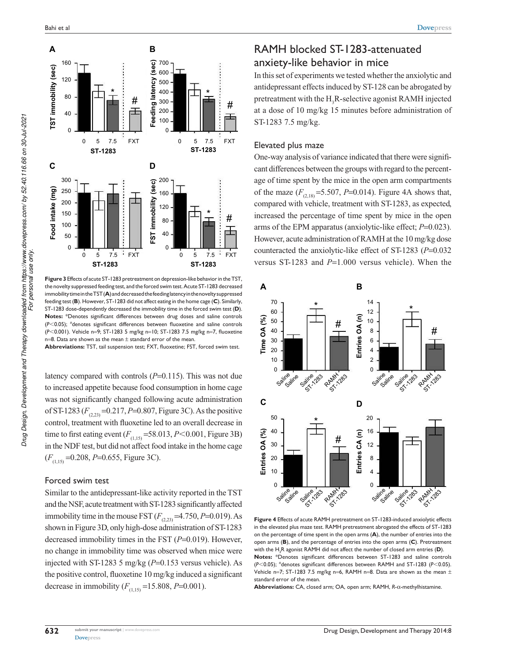

Figure 3 Effects of acute ST-1283 pretreatment on depression-like behavior in the TST, the novelty suppressed feeding test, and the forced swim test. Acute ST-1283 decreased immobility time in the TsT (**A**) and decreased the feeding latency in the novelty suppressed feeding test (**B**). however, sT-1283 did not affect eating in the home cage (**C**). similarly, sT-1283 dose-dependently decreased the immobility time in the forced swim test (**D**). **Notes:** \*Denotes significant differences between drug doses and saline controls (*P*,0.05); #denotes significant differences between fluoxetine and saline controls (*P*,0.001). Vehicle n=9; sT-1283 5 mg/kg n=10; sT-1283 7.5 mg/kg n=7, fluoxetine n=8. Data are shown as the mean  $\pm$  standard error of the mean.

**Abbreviations:** TST, tail suspension test; FXT, fluoxetine; FST, forced swim test.

latency compared with controls (*P*=0.115). This was not due to increased appetite because food consumption in home cage was not significantly changed following acute administration of ST-1283 ( $F_{(2,23)} = 0.217$ , *P*=0.807, Figure 3C). As the positive control, treatment with fluoxetine led to an overall decrease in time to first eating event  $(F_{(1,15)} = 58.013, P < 0.001,$  Figure 3B) in the NDF test, but did not affect food intake in the home cage (*F*(1,15) =0.208, *P*=0.655, Figure 3C).

#### Forced swim test

Similar to the antidepressant-like activity reported in the TST and the NSF, acute treatment with ST-1283 significantly affected immobility time in the mouse FST  $(F_{(2,23)} = 4.750, P = 0.019)$ . As shown in Figure 3D, only high-dose administration of ST-1283 decreased immobility times in the FST (*P*=0.019). However, no change in immobility time was observed when mice were injected with ST-1283 5 mg/kg (*P*=0.153 versus vehicle). As the positive control, fluoxetine 10 mg/kg induced a significant decrease in immobility  $(F_{(1,15)} = 15.808, P = 0.001)$ .

# RAMH blocked ST-1283-attenuated anxiety-like behavior in mice

In this set of experiments we tested whether the anxiolytic and antidepressant effects induced by ST-128 can be abrogated by pretreatment with the H3R-selective agonist RAMH injected at a dose of 10 mg/kg 15 minutes before administration of ST-1283 7.5 mg/kg.

#### Elevated plus maze

One-way analysis of variance indicated that there were significant differences between the groups with regard to the percentage of time spent by the mice in the open arm compartments of the maze  $(F_{(2,18)} = 5.507, P = 0.014)$ . Figure 4A shows that, compared with vehicle, treatment with ST-1283, as expected, increased the percentage of time spent by mice in the open arms of the EPM apparatus (anxiolytic-like effect; *P*=0.023). However, acute administration of RAMH at the 10 mg/kg dose counteracted the anxiolytic-like effect of ST-1283 (*P*=0.032 versus ST-1283 and *P*=1.000 versus vehicle). When the



Figure 4 Effects of acute RAMH pretreatment on ST-1283-induced anxiolytic effects in the elevated plus maze test. RAMH pretreatment abrogated the effects of ST-1283 on the percentage of time spent in the open arms (**A**), the number of entries into the open arms (**B**), and the percentage of entries into the open arms (**C**). Pretreatment with the H<sub>3</sub>R agonist RAMH did not affect the number of closed arm entries (**D**). **Notes:** \*Denotes significant differences between ST-1283 and saline controls (*P*<0.05); #denotes significant differences between RAMH and ST-1283 (*P*<0.05). Vehicle n=7; ST-1283 7.5 mg/kg n=6, RAMH n=8. Data are shown as the mean  $\pm$ standard error of the mean.

**Abbreviations:** ca, closed arm; Oa, open arm; raMh, *R*-α-methylhistamine.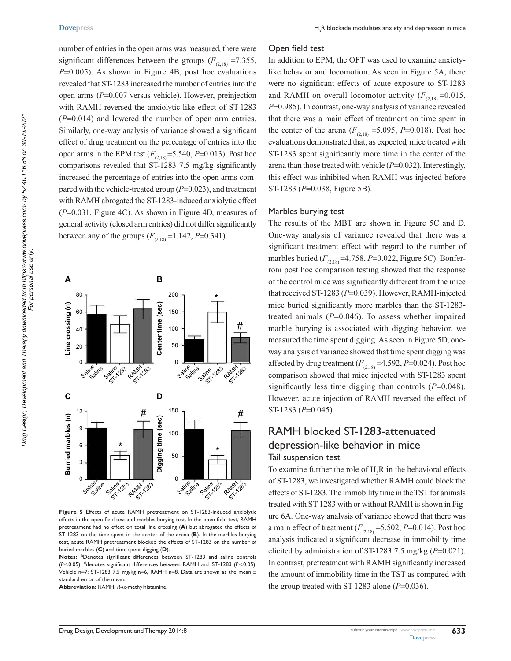number of entries in the open arms was measured, there were significant differences between the groups  $(F_{(2,18)} = 7.355)$ , *P*=0.005). As shown in Figure 4B, post hoc evaluations revealed that ST-1283 increased the number of entries into the open arms (*P*=0.007 versus vehicle). However, preinjection with RAMH reversed the anxiolytic-like effect of ST-1283 (*P*=0.014) and lowered the number of open arm entries. Similarly, one-way analysis of variance showed a significant effect of drug treatment on the percentage of entries into the open arms in the EPM test  $(F_{(2,18)} = 5.540, P = 0.013)$ . Post hoc comparisons revealed that ST-1283 7.5 mg/kg significantly increased the percentage of entries into the open arms compared with the vehicle-treated group (*P*=0.023), and treatment with RAMH abrogated the ST-1283-induced anxiolytic effect (*P*=0.031, Figure 4C). As shown in Figure 4D, measures of general activity (closed arm entries) did not differ significantly between any of the groups  $(F_{(2,18)} = 1.142, P = 0.341)$ .



Figure 5 Effects of acute RAMH pretreatment on ST-1283-induced anxiolytic effects in the open field test and marbles burying test. In the open field test, RAMH pretreatment had no effect on total line crossing (**A**) but abrogated the effects of sT-1283 on the time spent in the center of the arena (**B**). in the marbles burying test, acute RAMH pretreatment blocked the effects of ST-1283 on the number of buried marbles (**C**) and time spent digging (**D**).

**Notes:** \*Denotes significant differences between ST-1283 and saline controls ( $P$ <0.05); #denotes significant differences between RAMH and ST-1283 ( $P$ <0.05). Vehicle n=7; ST-1283 7.5 mg/kg n=6, RAMH n=8. Data are shown as the mean  $\pm$ standard error of the mean.

**Abbreviation: RAMH, R-α-methylhistamine.** 

#### Open field test

In addition to EPM, the OFT was used to examine anxietylike behavior and locomotion. As seen in Figure 5A, there were no significant effects of acute exposure to ST-1283 and RAMH on overall locomotor activity  $(F_{(2,18)} = 0.015,$ *P*=0.985). In contrast, one-way analysis of variance revealed that there was a main effect of treatment on time spent in the center of the arena  $(F_{(2,18)} = 5.095, P = 0.018)$ . Post hoc evaluations demonstrated that, as expected, mice treated with ST-1283 spent significantly more time in the center of the arena than those treated with vehicle (*P*=0.032). Interestingly, this effect was inhibited when RAMH was injected before ST-1283 (*P*=0.038, Figure 5B).

#### Marbles burying test

The results of the MBT are shown in Figure 5C and D. One-way analysis of variance revealed that there was a significant treatment effect with regard to the number of marbles buried  $(F_{(2,18)} = 4.758, P = 0.022,$  Figure 5C). Bonferroni post hoc comparison testing showed that the response of the control mice was significantly different from the mice that received ST-1283 (P=0.039). However, RAMH-injected mice buried significantly more marbles than the ST-1283 treated animals (*P*=0.046). To assess whether impaired marble burying is associated with digging behavior, we measured the time spent digging. As seen in Figure 5D, oneway analysis of variance showed that time spent digging was affected by drug treatment  $(F_{(2,18)} = 4.592, P = 0.024)$ . Post hoc comparison showed that mice injected with ST-1283 spent significantly less time digging than controls (*P*=0.048). However, acute injection of RAMH reversed the effect of ST-1283 (*P*=0.045).

# RAMH blocked ST-1283-attenuated depression-like behavior in mice Tail suspension test

To examine further the role of  $H<sub>2</sub>R$  in the behavioral effects of ST-1283, we investigated whether RAMH could block the effects of ST-1283. The immobility time in the TST for animals treated with ST-1283 with or without RAMH is shown in Figure 6A. One-way analysis of variance showed that there was a main effect of treatment  $(F_{(2,18)} = 5.502, P = 0.014)$ . Post hoc analysis indicated a significant decrease in immobility time elicited by administration of ST-1283 7.5 mg/kg (*P*=0.021). In contrast, pretreatment with RAMH significantly increased the amount of immobility time in the TST as compared with the group treated with ST-1283 alone (*P*=0.036).

*For personal use only.*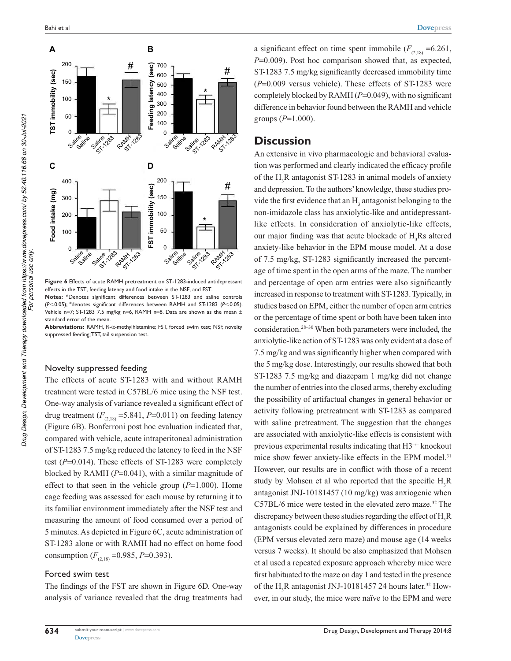

**Figure 6** Effects of acute RAMH pretreatment on ST-1283-induced antidepressant effects in the TST, feeding latency and food intake in the NSF, and FST. **Notes:** \*Denotes significant differences between ST-1283 and saline controls (P<0.05); #denotes significant differences between RAMH and ST-1283 (P<0.05). Vehicle n=7; ST-1283 7.5 mg/kg n=6, RAMH n=8. Data are shown as the mean  $\pm$ standard error of the mean.

**Abbreviations:** RAMH, R-α-methylhistamine; FST, forced swim test; NSF, novelty suppressed feeding; TsT, tail suspension test.

#### Novelty suppressed feeding

The effects of acute ST-1283 with and without RAMH treatment were tested in C57BL/6 mice using the NSF test. One-way analysis of variance revealed a significant effect of drug treatment  $(F_{(2,18)} = 5.841, P = 0.011)$  on feeding latency (Figure 6B). Bonferroni post hoc evaluation indicated that, compared with vehicle, acute intraperitoneal administration of ST-1283 7.5 mg/kg reduced the latency to feed in the NSF test (*P*=0.014). These effects of ST-1283 were completely blocked by RAMH (*P*=0.041), with a similar magnitude of effect to that seen in the vehicle group (*P*=1.000). Home cage feeding was assessed for each mouse by returning it to its familiar environment immediately after the NSF test and measuring the amount of food consumed over a period of 5 minutes. As depicted in Figure 6C, acute administration of ST-1283 alone or with RAMH had no effect on home food consumption  $(F_{(2,18)} = 0.985, P = 0.393)$ .

#### Forced swim test

**634**

The findings of the FST are shown in Figure 6D. One-way analysis of variance revealed that the drug treatments had a significant effect on time spent immobile  $(F_{(2,18)} = 6.261$ , *P*=0.009). Post hoc comparison showed that, as expected, ST-1283 7.5 mg/kg significantly decreased immobility time (*P*=0.009 versus vehicle). These effects of ST-1283 were completely blocked by RAMH (*P*=0.049), with no significant difference in behavior found between the RAMH and vehicle groups (*P*=1.000).

## **Discussion**

An extensive in vivo pharmacologic and behavioral evaluation was performed and clearly indicated the efficacy profile of the H<sub>3</sub>R antagonist ST-1283 in animal models of anxiety and depression. To the authors' knowledge, these studies provide the first evidence that an  $H_3$  antagonist belonging to the non-imidazole class has anxiolytic-like and antidepressantlike effects. In consideration of anxiolytic-like effects, our major finding was that acute blockade of H<sub>3</sub>Rs altered anxiety-like behavior in the EPM mouse model. At a dose of 7.5 mg/kg, ST-1283 significantly increased the percentage of time spent in the open arms of the maze. The number and percentage of open arm entries were also significantly increased in response to treatment with ST-1283. Typically, in studies based on EPM, either the number of open arm entries or the percentage of time spent or both have been taken into consideration.28–30 When both parameters were included, the anxiolytic-like action of ST-1283 was only evident at a dose of 7.5 mg/kg and was significantly higher when compared with the 5 mg/kg dose. Interestingly, our results showed that both ST-1283 7.5 mg/kg and diazepam 1 mg/kg did not change the number of entries into the closed arms, thereby excluding the possibility of artifactual changes in general behavior or activity following pretreatment with ST-1283 as compared with saline pretreatment. The suggestion that the changes are associated with anxiolytic-like effects is consistent with previous experimental results indicating that H3–/– knockout mice show fewer anxiety-like effects in the EPM model.<sup>31</sup> However, our results are in conflict with those of a recent study by Mohsen et al who reported that the specific  $H<sub>2</sub>R$ antagonist JNJ-10181457 (10 mg/kg) was anxiogenic when C57BL/6 mice were tested in the elevated zero maze.<sup>32</sup> The discrepancy between these studies regarding the effect of  $H<sub>3</sub>R$ antagonists could be explained by differences in procedure (EPM versus elevated zero maze) and mouse age (14 weeks versus 7 weeks). It should be also emphasized that Mohsen et al used a repeated exposure approach whereby mice were first habituated to the maze on day 1 and tested in the presence of the H<sub>3</sub>R antagonist JNJ-10181457 24 hours later.<sup>32</sup> However, in our study, the mice were naïve to the EPM and were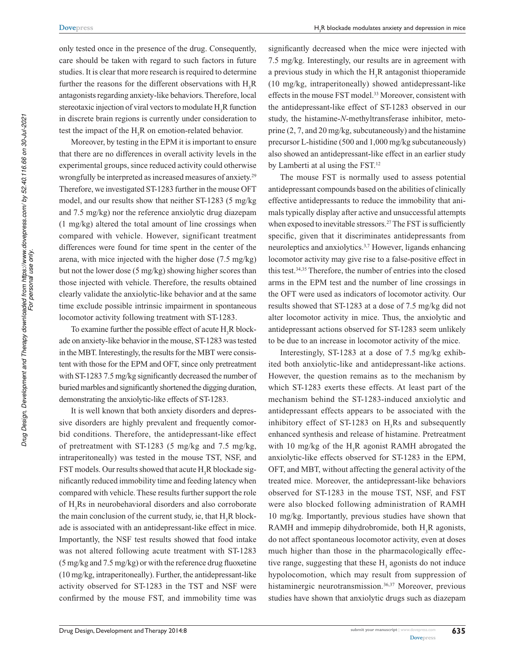only tested once in the presence of the drug. Consequently, care should be taken with regard to such factors in future studies. It is clear that more research is required to determine further the reasons for the different observations with H<sub>3</sub>R antagonists regarding anxiety-like behaviors. Therefore, local stereotaxic injection of viral vectors to modulate H<sub>3</sub>R function in discrete brain regions is currently under consideration to test the impact of the  $H<sub>3</sub>R$  on emotion-related behavior.

Moreover, by testing in the EPM it is important to ensure that there are no differences in overall activity levels in the experimental groups, since reduced activity could otherwise wrongfully be interpreted as increased measures of anxiety.<sup>29</sup> Therefore, we investigated ST-1283 further in the mouse OFT model, and our results show that neither ST-1283 (5 mg/kg and 7.5 mg/kg) nor the reference anxiolytic drug diazepam (1 mg/kg) altered the total amount of line crossings when compared with vehicle. However, significant treatment differences were found for time spent in the center of the arena, with mice injected with the higher dose (7.5 mg/kg) but not the lower dose (5 mg/kg) showing higher scores than those injected with vehicle. Therefore, the results obtained clearly validate the anxiolytic-like behavior and at the same time exclude possible intrinsic impairment in spontaneous locomotor activity following treatment with ST-1283.

To examine further the possible effect of acute  $H_1R$  blockade on anxiety-like behavior in the mouse, ST-1283 was tested in the MBT. Interestingly, the results for the MBT were consistent with those for the EPM and OFT, since only pretreatment with ST-1283 7.5 mg/kg significantly decreased the number of buried marbles and significantly shortened the digging duration, demonstrating the anxiolytic-like effects of ST-1283.

It is well known that both anxiety disorders and depressive disorders are highly prevalent and frequently comorbid conditions. Therefore, the antidepressant-like effect of pretreatment with ST-1283 (5 mg/kg and 7.5 mg/kg, intraperitoneally) was tested in the mouse TST, NSF, and FST models. Our results showed that acute H<sub>3</sub>R blockade significantly reduced immobility time and feeding latency when compared with vehicle. These results further support the role of H<sub>2</sub>Rs in neurobehavioral disorders and also corroborate the main conclusion of the current study, ie, that  $H<sub>3</sub>R$  blockade is associated with an antidepressant-like effect in mice. Importantly, the NSF test results showed that food intake was not altered following acute treatment with ST-1283 (5 mg/kg and 7.5 mg/kg) or with the reference drug fluoxetine (10 mg/kg, intraperitoneally). Further, the antidepressant-like activity observed for ST-1283 in the TST and NSF were confirmed by the mouse FST, and immobility time was significantly decreased when the mice were injected with 7.5 mg/kg. Interestingly, our results are in agreement with a previous study in which the H<sub>3</sub>R antagonist thioperamide (10 mg/kg, intraperitoneally) showed antidepressant-like effects in the mouse FST model.<sup>33</sup> Moreover, consistent with the antidepressant-like effect of ST-1283 observed in our study, the histamine-*N*-methyltransferase inhibitor, metoprine (2, 7, and 20 mg/kg, subcutaneously) and the histamine precursor L-histidine (500 and 1,000 mg/kg subcutaneously) also showed an antidepressant-like effect in an earlier study by Lamberti at al using the FST.<sup>12</sup>

The mouse FST is normally used to assess potential antidepressant compounds based on the abilities of clinically effective antidepressants to reduce the immobility that animals typically display after active and unsuccessful attempts when exposed to inevitable stressors.<sup>27</sup> The FST is sufficiently specific, given that it discriminates antidepressants from neuroleptics and anxiolytics.3,7 However, ligands enhancing locomotor activity may give rise to a false-positive effect in this test.34,35 Therefore, the number of entries into the closed arms in the EPM test and the number of line crossings in the OFT were used as indicators of locomotor activity. Our results showed that ST-1283 at a dose of 7.5 mg/kg did not alter locomotor activity in mice. Thus, the anxiolytic and antidepressant actions observed for ST-1283 seem unlikely to be due to an increase in locomotor activity of the mice.

Interestingly, ST-1283 at a dose of 7.5 mg/kg exhibited both anxiolytic-like and antidepressant-like actions. However, the question remains as to the mechanism by which ST-1283 exerts these effects. At least part of the mechanism behind the ST-1283-induced anxiolytic and antidepressant effects appears to be associated with the inhibitory effect of  $ST-1283$  on  $H<sub>3</sub>Rs$  and subsequently enhanced synthesis and release of histamine. Pretreatment with 10 mg/kg of the  $H<sub>2</sub>R$  agonist RAMH abrogated the anxiolytic-like effects observed for ST-1283 in the EPM, OFT, and MBT, without affecting the general activity of the treated mice. Moreover, the antidepressant-like behaviors observed for ST-1283 in the mouse TST, NSF, and FST were also blocked following administration of RAMH 10 mg/kg. Importantly, previous studies have shown that RAMH and immepip dihydrobromide, both  $H<sub>3</sub>R$  agonists, do not affect spontaneous locomotor activity, even at doses much higher than those in the pharmacologically effective range, suggesting that these  $H_3$  agonists do not induce hypolocomotion, which may result from suppression of histaminergic neurotransmission.<sup>36,37</sup> Moreover, previous studies have shown that anxiolytic drugs such as diazepam

**635**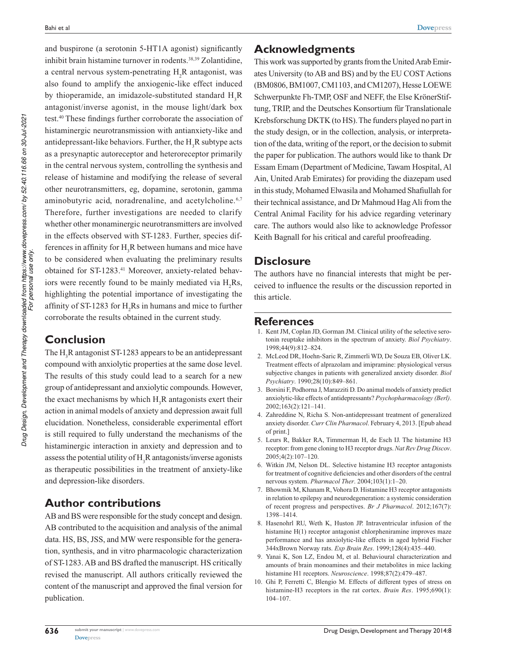and buspirone (a serotonin 5-HT1A agonist) significantly inhibit brain histamine turnover in rodents.<sup>38,39</sup> Zolantidine, a central nervous system-penetrating H<sub>2</sub>R antagonist, was also found to amplify the anxiogenic-like effect induced by thioperamide, an imidazole-substituted standard  $H_1R$ antagonist/inverse agonist, in the mouse light/dark box test.<sup>40</sup> These findings further corroborate the association of histaminergic neurotransmission with antianxiety-like and antidepressant-like behaviors. Further, the  $H<sub>3</sub>R$  subtype acts as a presynaptic autoreceptor and heteroreceptor primarily in the central nervous system, controlling the synthesis and release of histamine and modifying the release of several other neurotransmitters, eg, dopamine, serotonin, gamma aminobutyric acid, noradrenaline, and acetylcholine. 6,7 Therefore, further investigations are needed to clarify whether other monaminergic neurotransmitters are involved in the effects observed with ST-1283. Further, species differences in affinity for  $H<sub>3</sub>R$  between humans and mice have to be considered when evaluating the preliminary results obtained for ST-1283.41 Moreover, anxiety-related behaviors were recently found to be mainly mediated via H<sub>2</sub>Rs, highlighting the potential importance of investigating the affinity of ST-1283 for H2Rs in humans and mice to further corroborate the results obtained in the current study.

# **Conclusion**

The  $H<sub>3</sub>R$  antagonist ST-1283 appears to be an antidepressant compound with anxiolytic properties at the same dose level. The results of this study could lead to a search for a new group of antidepressant and anxiolytic compounds. However, the exact mechanisms by which  $H<sub>3</sub>R$  antagonists exert their action in animal models of anxiety and depression await full elucidation. Nonetheless, considerable experimental effort is still required to fully understand the mechanisms of the histaminergic interaction in anxiety and depression and to assess the potential utility of H<sub>2</sub>R antagonists/inverse agonists as therapeutic possibilities in the treatment of anxiety-like and depression-like disorders.

# **Author contributions**

AB and BS were responsible for the study concept and design. AB contributed to the acquisition and analysis of the animal data. HS, BS, JSS, and MW were responsible for the generation, synthesis, and in vitro pharmacologic characterization of ST-1283. AB and BS drafted the manuscript. HS critically revised the manuscript. All authors critically reviewed the content of the manuscript and approved the final version for publication.

# **Acknowledgments**

This work was supported by grants from the United Arab Emirates University (to AB and BS) and by the EU COST Actions (BM0806, BM1007, CM1103, and CM1207), Hesse LOEWE Schwerpunkte Fh-TMP, OSF and NEFF, the Else KrönerStiftung, TRIP, and the Deutsches Konsortium für Translationale Krebsforschung DKTK (to HS). The funders played no part in the study design, or in the collection, analysis, or interpretation of the data, writing of the report, or the decision to submit the paper for publication. The authors would like to thank Dr Essam Emam (Department of Medicine, Tawam Hospital, Al Ain, United Arab Emirates) for providing the diazepam used in this study, Mohamed Elwasila and Mohamed Shafiullah for their technical assistance, and Dr Mahmoud Hag Ali from the Central Animal Facility for his advice regarding veterinary care. The authors would also like to acknowledge Professor Keith Bagnall for his critical and careful proofreading.

# **Disclosure**

The authors have no financial interests that might be perceived to influence the results or the discussion reported in this article.

## **References**

- 1. Kent JM, Coplan JD, Gorman JM. Clinical utility of the selective serotonin reuptake inhibitors in the spectrum of anxiety. *Biol Psychiatry*. 1998;44(9):812–824.
- 2. McLeod DR, Hoehn-Saric R, Zimmerli WD, De Souza EB, Oliver LK. Treatment effects of alprazolam and imipramine: physiological versus subjective changes in patients with generalized anxiety disorder. *Biol Psychiatry*. 1990;28(10):849–861.
- 3. Borsini F, Podhorna J, Marazziti D. Do animal models of anxiety predict anxiolytic-like effects of antidepressants? *Psychopharmacology (Berl)*. 2002;163(2):121–141.
- 4. Zahreddine N, Richa S. Non-antidepressant treatment of generalized anxiety disorder. *Curr Clin Pharmacol*. February 4, 2013. [Epub ahead of print.]
- 5. Leurs R, Bakker RA, Timmerman H, de Esch IJ. The histamine H3 receptor: from gene cloning to H3 receptor drugs. *Nat Rev Drug Discov*. 2005;4(2):107–120.
- 6. Witkin JM, Nelson DL. Selective histamine H3 receptor antagonists for treatment of cognitive deficiencies and other disorders of the central nervous system. *Pharmacol Ther*. 2004;103(1):1–20.
- 7. Bhowmik M, Khanam R, Vohora D. Histamine H3 receptor antagonists in relation to epilepsy and neurodegeneration: a systemic consideration of recent progress and perspectives. *Br J Pharmacol*. 2012;167(7): 1398–1414.
- 8. Hasenohrl RU, Weth K, Huston JP. Intraventricular infusion of the histamine H(1) receptor antagonist chlorpheniramine improves maze performance and has anxiolytic-like effects in aged hybrid Fischer 344xBrown Norway rats. *Exp Brain Res*. 1999;128(4):435–440.
- 9. Yanai K, Son LZ, Endou M, et al. Behavioural characterization and amounts of brain monoamines and their metabolites in mice lacking histamine H1 receptors. *Neuroscience*. 1998;87(2):479–487.
- 10. Ghi P, Ferretti C, Blengio M. Effects of different types of stress on histamine-H3 receptors in the rat cortex. *Brain Res*. 1995;690(1): 104–107.

**636**